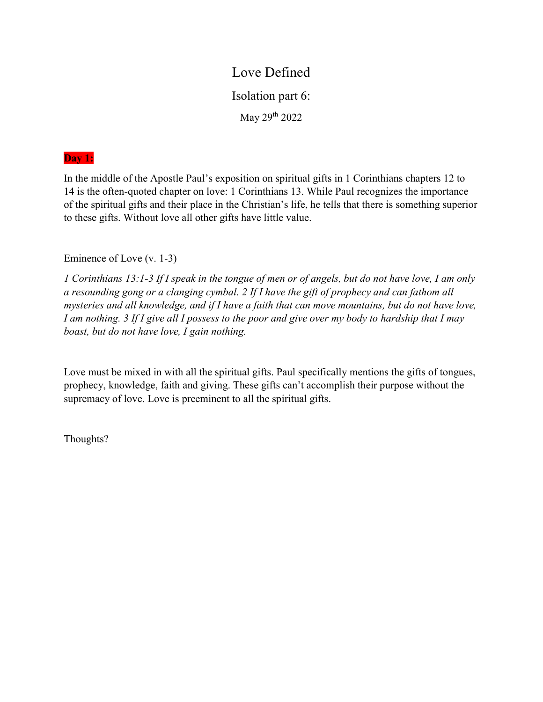# Love Defined

Isolation part 6:

May 29th 2022

#### Day 1:

In the middle of the Apostle Paul's exposition on spiritual gifts in 1 Corinthians chapters 12 to 14 is the often-quoted chapter on love: 1 Corinthians 13. While Paul recognizes the importance of the spiritual gifts and their place in the Christian's life, he tells that there is something superior to these gifts. Without love all other gifts have little value.

Eminence of Love (v. 1-3)

1 Corinthians 13:1-3 If I speak in the tongue of men or of angels, but do not have love, I am only a resounding gong or a clanging cymbal. 2 If I have the gift of prophecy and can fathom all mysteries and all knowledge, and if I have a faith that can move mountains, but do not have love, I am nothing. 3 If I give all I possess to the poor and give over my body to hardship that I may boast, but do not have love, I gain nothing.

Love must be mixed in with all the spiritual gifts. Paul specifically mentions the gifts of tongues, prophecy, knowledge, faith and giving. These gifts can't accomplish their purpose without the supremacy of love. Love is preeminent to all the spiritual gifts.

Thoughts?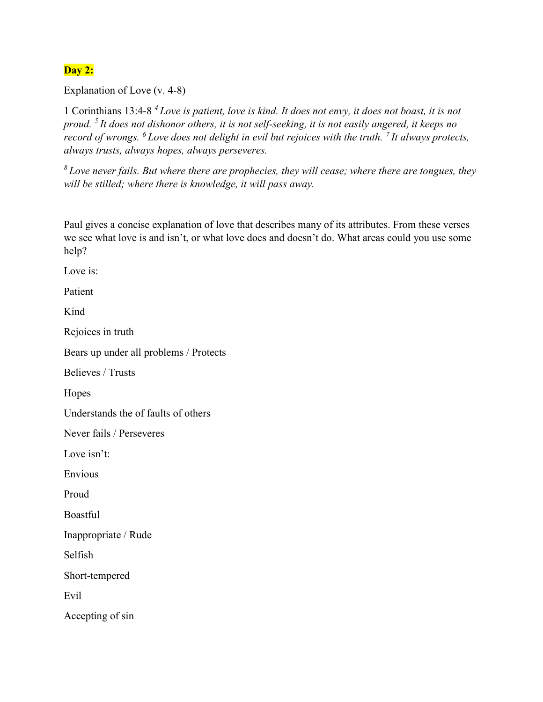# Day 2:

Explanation of Love (v. 4-8)

1 Corinthians 13:4-8  $^4$  Love is patient, love is kind. It does not envy, it does not boast, it is not proud. <sup>5</sup> It does not dishonor others, it is not self-seeking, it is not easily angered, it keeps no record of wrongs.  $^6$  Love does not delight in evil but rejoices with the truth.  $^7$  It always protects, always trusts, always hopes, always perseveres.

 $8$  Love never fails. But where there are prophecies, they will cease; where there are tongues, they will be stilled; where there is knowledge, it will pass away.

Paul gives a concise explanation of love that describes many of its attributes. From these verses we see what love is and isn't, or what love does and doesn't do. What areas could you use some help?

Love is:

Patient

Kind

Rejoices in truth

Bears up under all problems / Protects

Believes / Trusts

Hopes

Understands the of faults of others

Never fails / Perseveres

Love isn't:

Envious

Proud

Boastful

Inappropriate / Rude

Selfish

Short-tempered

Evil

Accepting of sin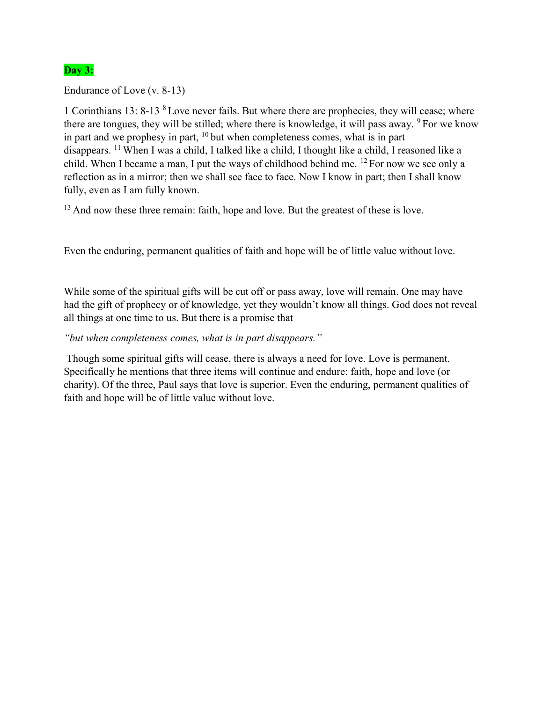## **Day 3:**

Endurance of Love (v. 8-13)

1 Corinthians 13: 8-13 <sup>8</sup> Love never fails. But where there are prophecies, they will cease; where there are tongues, they will be stilled; where there is knowledge, it will pass away.  $9^{\circ}$  For we know in part and we prophesy in part,  $10$  but when completeness comes, what is in part disappears. <sup>11</sup>When I was a child, I talked like a child, I thought like a child, I reasoned like a child. When I became a man, I put the ways of childhood behind me. <sup>12</sup> For now we see only a reflection as in a mirror; then we shall see face to face. Now I know in part; then I shall know fully, even as I am fully known.

<sup>13</sup> And now these three remain: faith, hope and love. But the greatest of these is love.

Even the enduring, permanent qualities of faith and hope will be of little value without love.

While some of the spiritual gifts will be cut off or pass away, love will remain. One may have had the gift of prophecy or of knowledge, yet they wouldn't know all things. God does not reveal all things at one time to us. But there is a promise that

"but when completeness comes, what is in part disappears."

 Though some spiritual gifts will cease, there is always a need for love. Love is permanent. Specifically he mentions that three items will continue and endure: faith, hope and love (or charity). Of the three, Paul says that love is superior. Even the enduring, permanent qualities of faith and hope will be of little value without love.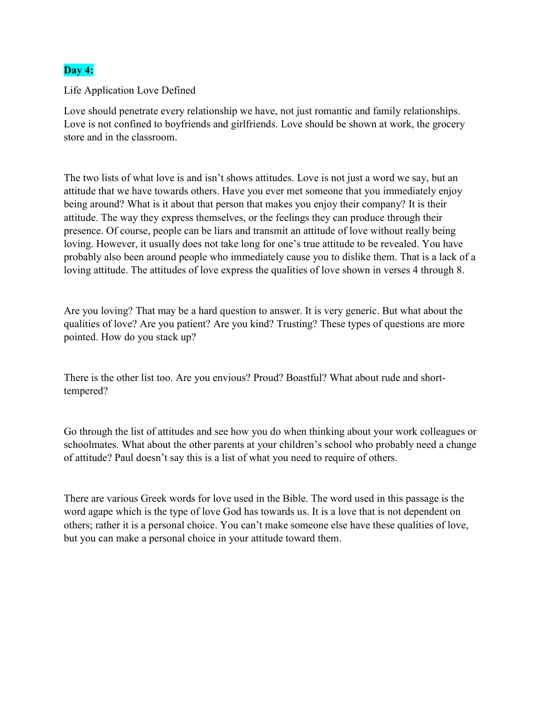## Day 4:

Life Application Love Defined

Love should penetrate every relationship we have, not just romantic and family relationships. Love is not confined to boyfriends and girlfriends. Love should be shown at work, the grocery store and in the classroom.

The two lists of what love is and isn't shows attitudes. Love is not just a word we say, but an attitude that we have towards others. Have you ever met someone that you immediately enjoy being around? What is it about that person that makes you enjoy their company? It is their attitude. The way they express themselves, or the feelings they can produce through their presence. Of course, people can be liars and transmit an attitude of love without really being loving. However, it usually does not take long for one's true attitude to be revealed. You have probably also been around people who immediately cause you to dislike them. That is a lack of a loving attitude. The attitudes of love express the qualities of love shown in verses 4 through 8.

Are you loving? That may be a hard question to answer. It is very generic. But what about the qualities of love? Are you patient? Are you kind? Trusting? These types of questions are more pointed. How do you stack up?

There is the other list too. Are you envious? Proud? Boastful? What about rude and shorttempered?

Go through the list of attitudes and see how you do when thinking about your work colleagues or schoolmates. What about the other parents at your children's school who probably need a change of attitude? Paul doesn't say this is a list of what you need to require of others.

There are various Greek words for love used in the Bible. The word used in this passage is the word agape which is the type of love God has towards us. It is a love that is not dependent on others; rather it is a personal choice. You can't make someone else have these qualities of love, but you can make a personal choice in your attitude toward them.